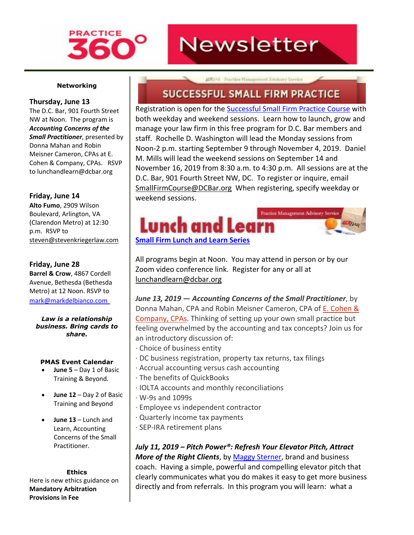

# **Newsletter**

### **Networking**

### **Thursday, June 13**

The D.C. Bar, 901 Fourth Street NW at Noon. The program is *Accounting Concerns of the Small Practitioner*, presented by Donna Mahan and Robin Meisner Cameron, CPAs a[t E.](http://www.mmsend31.com/link.cfm?r=zvkjaWqFFUTRz65Avl-Ftw~~&pe=3BZml11I05gSqR8NMrUcbvTeL_jXlEf-UvdkPxVfhyQ4sTTCjQlCVN4yol8nJujZv0UkkCOIaWNc9AqkKX2noA~~&t=-LPwuhlUgrTR73YXP4k5aw~~)  [Cohen & Company,](http://www.mmsend31.com/link.cfm?r=zvkjaWqFFUTRz65Avl-Ftw~~&pe=3BZml11I05gSqR8NMrUcbvTeL_jXlEf-UvdkPxVfhyQ4sTTCjQlCVN4yol8nJujZv0UkkCOIaWNc9AqkKX2noA~~&t=-LPwuhlUgrTR73YXP4k5aw~~) CPAs. RSVP to [lunchandlearn@dcbar.org](mailto:lunchandlearn@dcbar.org)

### **Friday, June 14**

**Alto Fumo**, 2909 Wilson Boulevard, Arlington, VA (Clarendon Metro) at 12:30 p.m. RSVP to [steven@stevenkriegerlaw.com](mailto:steven@stevenkriegerlaw.com)

### **Friday, June 28**

**Barrel & Crow**, 4867 Cordell Avenue, Bethesda (Bethesda Metro) at 12 Noon. RSVP to [mark@markdelbianco.com](mailto:mark@markdelbianco.com)

*Law is a relationship business. Bring cards to share.*

### **PMAS Event Calendar**

- **June 5** Day 1 of Basic Training & Beyond*.*
- **June 12**  Day 2 of Basic Training and Beyond
- **June 13** Lunch and Learn, Accounting Concerns of the Small Practitioner.

**Ethics**  Here is new ethics guidance on **Mandatory Arbitration Provisions in Fee** 

ASQUAR Practice Management Advisory Service

# **SUCCESSFUL SMALL FIRM PRACTICE**

Registration is open for the [Successful Small Firm Practice Course](http://www.mmsend31.com/link.cfm?r=zvkjaWqFFUTRz65Avl-Ftw~~&pe=QieWv6Yxb_Cil9IlPkoXc_I-77j7lcxw9R9Wc6h51GicFt8xfa-T83K3yvkSCDm_ozZbxXfNe4adjopsGSBHaw~~&t=-LPwuhlUgrTR73YXP4k5aw~~) with both weekday and weekend sessions. Learn how to launch, grow and manage your law firm in this free program for D.C. Bar members and staff. Rochelle D. Washington will lead the Monday sessions from Noon-2 p.m. starting September 9 through November 4, 2019. Daniel M. Mills will lead the weekend sessions on September 14 and November 16, 2019 from 8:30 a.m. to 4:30 p.m. All sessions are at the D.C. Bar, 901 Fourth Street NW, DC. To register or inquire, email [SmallFirmCourse@DCBar.org](mailto:SmallFirmCourse@DCBar.org) When registering, specify weekday or weekend sessions.



All programs begin at Noon. You may attend in person or by our Zoom video conference link. Register for any or all at [lunchandlearn@dcbar.org](mailto:lunchandlearn@dcbar.org)

*June 13, 2019 — Accounting Concerns of the Small Practitioner*, by Donna Mahan, CPA and Robin Meisner Cameron, CPA of E. [Cohen](http://www.mmsend31.com/link.cfm?r=zvkjaWqFFUTRz65Avl-Ftw~~&pe=Gy_thnQZiJjVcyZwfd3StPB-xoY97pZ7u2x1SJ1vz8ALUQOQBPrKJTTXDPTx4Q0fjpGshqoC2osJBntJ9641AA~~&t=-LPwuhlUgrTR73YXP4k5aw~~) & [Company,](http://www.mmsend31.com/link.cfm?r=zvkjaWqFFUTRz65Avl-Ftw~~&pe=Gy_thnQZiJjVcyZwfd3StPB-xoY97pZ7u2x1SJ1vz8ALUQOQBPrKJTTXDPTx4Q0fjpGshqoC2osJBntJ9641AA~~&t=-LPwuhlUgrTR73YXP4k5aw~~) CPAs. Thinking of setting up your own small practice but feeling overwhelmed by the accounting and tax concepts? Join us for an introductory discussion of:

- · Choice of business entity
- · DC business registration, property tax returns, tax filings
- · Accrual accounting versus cash accounting
- · The benefits of QuickBooks
- · IOLTA accounts and monthly reconciliations
- · W-9s and 1099s
- · Employee vs independent contractor
- · Quarterly income tax payments
- · SEP-IRA retirement plans

*July 11, 2019 – Pitch Power®: Refresh Your Elevator Pitch, Attract More of the Right Clients*, by [Maggy Sterner,](http://www.mmsend31.com/link.cfm?r=zvkjaWqFFUTRz65Avl-Ftw~~&pe=A3NWPQkJ41idodTZkcnr6IsK_sYuLk_M2SO_gfyXXKycgoC5CaElFoHCEBes4V8TYKTTthcWizSd7zaY4of_xA~~&t=-LPwuhlUgrTR73YXP4k5aw~~) brand and business coach. Having a simple, powerful and compelling elevator pitch that clearly communicates what you do makes it easy to get more business directly and from referrals. In this program you will learn: what a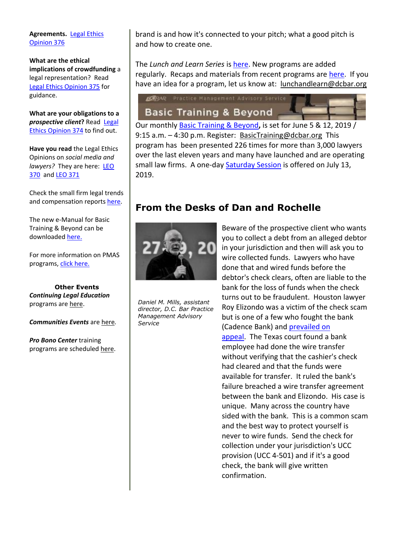### **Agreements.** [Legal Ethics](http://www.mmsend31.com/link.cfm?r=zvkjaWqFFUTRz65Avl-Ftw~~&pe=Chb0-qImvrPthL-m8krFAlcGZvjM9QatsFd2ktt4QIowN4u88lC45NxovRKRCVuyLrnNor5jYT9R8e6t5gFIXA~~&t=-LPwuhlUgrTR73YXP4k5aw~~)  [Opinion 376](http://www.mmsend31.com/link.cfm?r=zvkjaWqFFUTRz65Avl-Ftw~~&pe=Chb0-qImvrPthL-m8krFAlcGZvjM9QatsFd2ktt4QIowN4u88lC45NxovRKRCVuyLrnNor5jYT9R8e6t5gFIXA~~&t=-LPwuhlUgrTR73YXP4k5aw~~)

**What are the ethical implications of crowdfunding** a legal representation? Read [Legal Ethics Opinion 375](http://www.mmsend31.com/link.cfm?r=zvkjaWqFFUTRz65Avl-Ftw~~&pe=QKqWcuVpmrJaJ7uvXbcO0SmUffsIHzpak_c7_6vwcPuKcvpr8SNFJrMgfvkVXiVUuFFKf2rn5OzzS7LcMYZmJw~~&t=-LPwuhlUgrTR73YXP4k5aw~~) for guidance.

**What are your obligations to a**  *prospective client***?** Read [Legal](http://www.mmsend31.com/link.cfm?r=zvkjaWqFFUTRz65Avl-Ftw~~&pe=cgkoavNhcHB4ViCQ9ROpd2iBO9peMAm0qKEIeZt46RwSBFNbQrkPZQilEY-dDnCSr6yQBDpT3aw_l-HqzYtYTA~~&t=-LPwuhlUgrTR73YXP4k5aw~~)  [Ethics Opinion 374](http://www.mmsend31.com/link.cfm?r=zvkjaWqFFUTRz65Avl-Ftw~~&pe=cgkoavNhcHB4ViCQ9ROpd2iBO9peMAm0qKEIeZt46RwSBFNbQrkPZQilEY-dDnCSr6yQBDpT3aw_l-HqzYtYTA~~&t=-LPwuhlUgrTR73YXP4k5aw~~) to find out.

**Have you read** the Legal Ethics Opinions on *social media and lawyers?* They are here: [LEO](http://www.mmsend31.com/link.cfm?r=zvkjaWqFFUTRz65Avl-Ftw~~&pe=XQIFOoWu4rS8BStJDkvg1ly8_xcnYvxHNO07G2BF7lwHI6h2F51mAzzdAVpPCEfkwTPtIMPEoTxQ3WqJkrdNGA~~&t=-LPwuhlUgrTR73YXP4k5aw~~)  [370](http://www.mmsend31.com/link.cfm?r=zvkjaWqFFUTRz65Avl-Ftw~~&pe=XQIFOoWu4rS8BStJDkvg1ly8_xcnYvxHNO07G2BF7lwHI6h2F51mAzzdAVpPCEfkwTPtIMPEoTxQ3WqJkrdNGA~~&t=-LPwuhlUgrTR73YXP4k5aw~~) an[d LEO 371](http://www.mmsend31.com/link.cfm?r=zvkjaWqFFUTRz65Avl-Ftw~~&pe=HbOMXn2R9boA5UlKs0zKlmm7lufg9Ol2Bry4yhCyl_2cjd3vZZNiCcto3YUUfsOguNFQ6rpFmgRbmb6fxhWyEA~~&t=-LPwuhlUgrTR73YXP4k5aw~~)

Check the small firm legal trends and compensation report[s here.](http://www.mmsend31.com/link.cfm?r=zvkjaWqFFUTRz65Avl-Ftw~~&pe=f7ea2EghgawWjDlQywqWgoAt8Yc5NDgOYDJN1dVrVblrtlDsGMpp1HuCLpieqzhbkojs5uHDpng7SM8jQLUuDw~~&t=-LPwuhlUgrTR73YXP4k5aw~~)

The new e-Manual for Basic Training & Beyond can be downloaded [here.](http://www.mmsend31.com/link.cfm?r=zvkjaWqFFUTRz65Avl-Ftw~~&pe=f6btklNJTNaK5QTrSe6Sa8ZMQqCUey6gADgVHwDil3qMzrqG3UYs1uuYmBaCy063d_bhl5PKay3fIl0PN0DnmA~~&t=-LPwuhlUgrTR73YXP4k5aw~~)

For more information on PMAS programs, [click here.](http://www.mmsend31.com/link.cfm?r=zvkjaWqFFUTRz65Avl-Ftw~~&pe=-gJuzQ-2qEO_N-jopmRl6pMid6E2ogkDjlyf_aucyZ8fwGWOlTSyFFLMH58cuevJAGrV4dZIWrZm4UViPfTxCA~~&t=-LPwuhlUgrTR73YXP4k5aw~~)

**Other Events**  *Continuing Legal Education* programs are [here.](http://www.mmsend31.com/link.cfm?r=zvkjaWqFFUTRz65Avl-Ftw~~&pe=L88Y4myICJSliRgx-4BKJHNfztRHVkKBkTlKIrkm3d2RymvjZN6pXoAEI7Zy1nWqqLj_Sx4U3VcAVh6DGha96A~~&t=-LPwuhlUgrTR73YXP4k5aw~~)

*Communities Events* are [here](http://www.mmsend31.com/link.cfm?r=zvkjaWqFFUTRz65Avl-Ftw~~&pe=qa1MhrUzwXE0aTOV5WMK7S6Mu5OKuQ98kZG9CdTkj38Q9v-fR1d_MqjOZWzMCJXVHBxziDjJ1uzYVeb85TZ-5w~~&t=-LPwuhlUgrTR73YXP4k5aw~~)*.*

*Pro Bono Center* training programs are scheduled [here.](http://www.mmsend31.com/link.cfm?r=zvkjaWqFFUTRz65Avl-Ftw~~&pe=XMUh9Nc6_Jcyz7VdzMLTGkcb4FuuMj3I5Yectni2a2Eck9uffatUgfxDSavDHPW-FrLY25TQb-nMloCNV4KAYA~~&t=-LPwuhlUgrTR73YXP4k5aw~~)

brand is and how it's connected to your pitch; what a good pitch is and how to create one.

The *Lunch and Learn Series* is [here.](http://www.mmsend31.com/link.cfm?r=zvkjaWqFFUTRz65Avl-Ftw~~&pe=JVPnkgZ0qgDinUFZKQm5I7_hLy0DT6yofnPY4kfzOLByUMDiE4qXn5HlE5tMRYv1W5PFzbH8PPdHH4GIRJpr9w~~&t=-LPwuhlUgrTR73YXP4k5aw~~) New programs are added regularly. Recaps and materials from recent programs are [here.](http://www.mmsend31.com/link.cfm?r=zvkjaWqFFUTRz65Avl-Ftw~~&pe=n6Zcq9GoX1AMQYNLVfMs9QKL65N-9pdYhbJ2WPxBY_XFeKSrCXtUkMjMJ937UnUnX20_neA1ZrJH9jvZXaUbGQ~~&t=-LPwuhlUgrTR73YXP4k5aw~~) If you have an idea for a program, let us know at: [lunchandlearn@dcbar.org](mailto:lunchandlearn@dcbar.org)

## **ISBAR** Practice Management Advisory Service **Basic Training & Beyond**

Our monthly [Basic Training & Beyond](http://www.mmsend31.com/link.cfm?r=zvkjaWqFFUTRz65Avl-Ftw~~&pe=wskjRkrxxkPrptvlDAk7GP2i0rfX6Tr69EDSrcLvBW5954Z0iZbvSYLvORVHcaZ_YhMIPBlhKqKuBZj6epz7Yg~~&t=-LPwuhlUgrTR73YXP4k5aw~~)**,** is set for June 5 & 12, 2019 / 9:15 a.m. – 4:30 p.m. Register: [BasicTraining@dcbar.org](mailto:BasicTraining@dcbar.org) This program has been presented 226 times for more than 3,000 lawyers over the last eleven years and many have launched and are operating small law firms. A one-day **Saturday Session** is offered on July 13, 2019.

### **From the Desks of Dan and Rochelle**



*Daniel M. Mills, assistant director, D.C. Bar Practice Management Advisory Service*

Beware of the prospective client who wants you to collect a debt from an alleged debtor in your jurisdiction and then will ask you to wire collected funds. Lawyers who have done that and wired funds before the debtor's check clears, often are liable to the bank for the loss of funds when the check turns out to be fraudulent. Houston lawyer Roy Elizondo was a victim of the check scam but is one of a few who fought the bank (Cadence Bank) an[d prevailed on](http://www.mmsend31.com/link.cfm?r=zvkjaWqFFUTRz65Avl-Ftw~~&pe=oqkEj2cY9BuZmBqB3fGphMtJXKcH8-7XLp9gHtnCi4GYP2s0SY11QKRsb_vMGAWDppPVjsVF-XYfjyAjEzO3Mw~~&t=-LPwuhlUgrTR73YXP4k5aw~~)  [appeal.](http://www.mmsend31.com/link.cfm?r=zvkjaWqFFUTRz65Avl-Ftw~~&pe=oqkEj2cY9BuZmBqB3fGphMtJXKcH8-7XLp9gHtnCi4GYP2s0SY11QKRsb_vMGAWDppPVjsVF-XYfjyAjEzO3Mw~~&t=-LPwuhlUgrTR73YXP4k5aw~~) The Texas court found a bank employee had done the wire transfer without verifying that the cashier's check had cleared and that the funds were available for transfer. It ruled the bank's failure breached a wire transfer agreement between the bank and Elizondo. His case is unique. Many across the country have sided with the bank. This is a common scam and the best way to protect yourself is never to wire funds. Send the check for collection under your jurisdiction's UCC provision (UCC 4-501) and if it's a good check, the bank will give written confirmation.